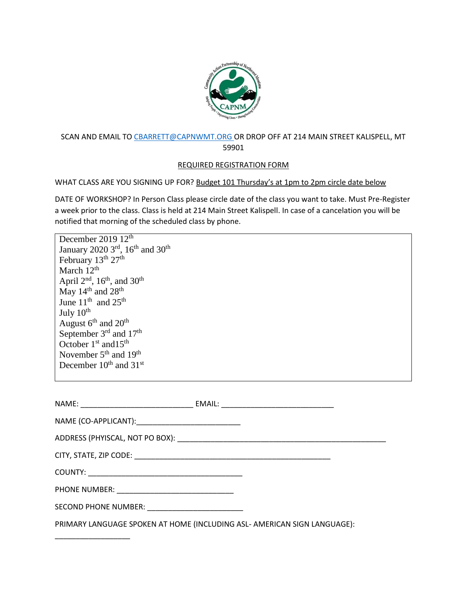

## SCAN AND EMAIL T[O CBARRETT@CAPNWMT.ORG](mailto:CBARRETT@CAPNWMT.ORG) OR DROP OFF AT 214 MAIN STREET KALISPELL, MT 59901

## REQUIRED REGISTRATION FORM

WHAT CLASS ARE YOU SIGNING UP FOR? Budget 101 Thursday's at 1pm to 2pm circle date below

DATE OF WORKSHOP? In Person Class please circle date of the class you want to take. Must Pre-Register a week prior to the class. Class is held at 214 Main Street Kalispell. In case of a cancelation you will be notified that morning of the scheduled class by phone.

December 2019 12<sup>th</sup> January 2020 3 $^{\text{rd}}$ , 16<sup>th</sup> and 30<sup>th</sup> February  $13^{th}$   $27^{th}$ March 12<sup>th</sup> April  $2<sup>nd</sup>$ , 16<sup>th</sup>, and 30<sup>th</sup> May 14<sup>th</sup> and 28<sup>th</sup> June  $11<sup>th</sup>$  and  $25<sup>th</sup>$ July  $10^{\text{th}}$ August  $6^{\text{th}}$  and  $20^{\text{th}}$ September 3<sup>rd</sup> and 17<sup>th</sup> October  $1<sup>st</sup>$  and  $15<sup>th</sup>$ November 5<sup>th</sup> and 19<sup>th</sup> December 10<sup>th</sup> and 31<sup>st</sup>

\_\_\_\_\_\_\_\_\_\_\_\_\_\_\_\_\_\_

| SECOND PHONE NUMBER: __________________________ |                                                                          |
|-------------------------------------------------|--------------------------------------------------------------------------|
|                                                 | PRIMARY LANGUAGE SPOKEN AT HOME (INCLUDING ASL- AMERICAN SIGN LANGUAGE): |